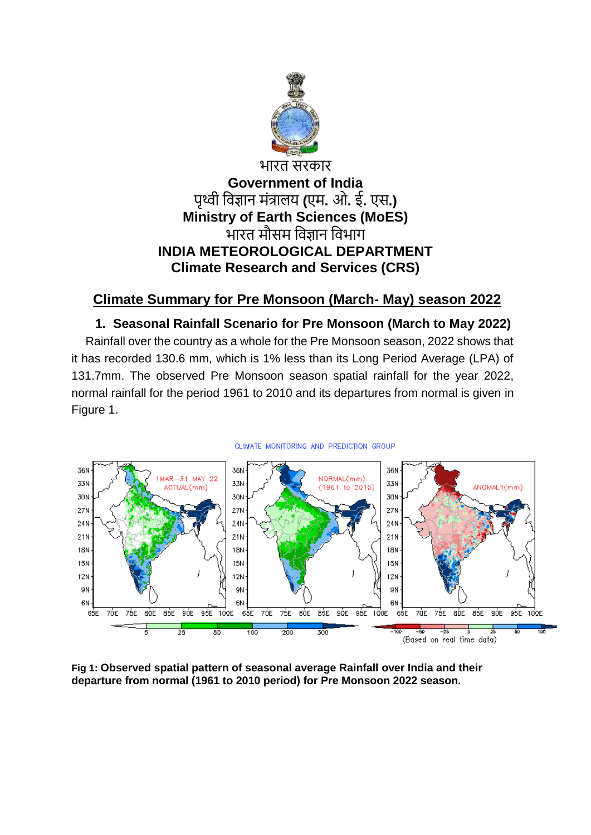

# भारत सरकार **Government of India** पृथ्वी विज्ञान मंत्रालय **(**एम**.** ओ**.** ई**.** एस**.) Ministry of Earth Sciences (MoES)** भारत मौसम विज्ञान विभाग **INDIA METEOROLOGICAL DEPARTMENT Climate Research and Services (CRS)**

# **Climate Summary for Pre Monsoon (March- May) season 2022**

# **1. Seasonal Rainfall Scenario for Pre Monsoon (March to May 2022)**

Rainfall over the country as a whole for the Pre Monsoon season, 2022 shows that it has recorded 130.6 mm, which is 1% less than its Long Period Average (LPA) of 131.7mm. The observed Pre Monsoon season spatial rainfall for the year 2022, normal rainfall for the period 1961 to 2010 and its departures from normal is given in Figure 1.



**Fig 1: Observed spatial pattern of seasonal average Rainfall over India and their departure from normal (1961 to 2010 period) for Pre Monsoon 2022 season.**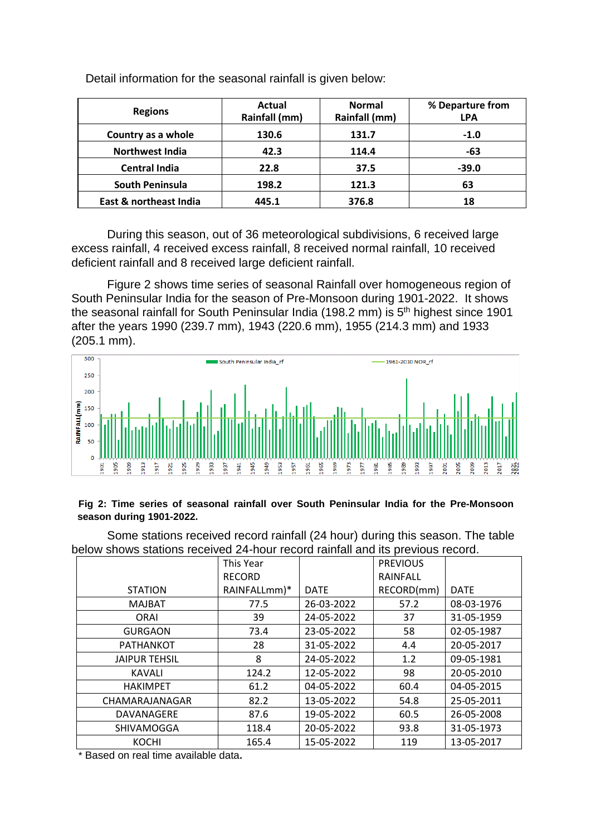| <b>Regions</b>         | Actual<br>Rainfall (mm) | <b>Normal</b><br>Rainfall (mm) | % Departure from<br><b>LPA</b> |
|------------------------|-------------------------|--------------------------------|--------------------------------|
| Country as a whole     | 130.6                   | 131.7                          | $-1.0$                         |
| <b>Northwest India</b> | 42.3                    | 114.4                          | -63                            |
| <b>Central India</b>   | 22.8                    | 37.5                           | $-39.0$                        |
| South Peninsula        | 198.2                   | 121.3                          | 63                             |
| East & northeast India | 445.1                   | 376.8                          | 18                             |

Detail information for the seasonal rainfall is given below:

During this season, out of 36 meteorological subdivisions, 6 received large excess rainfall, 4 received excess rainfall, 8 received normal rainfall, 10 received deficient rainfall and 8 received large deficient rainfall.

Figure 2 shows time series of seasonal Rainfall over homogeneous region of South Peninsular India for the season of Pre-Monsoon during 1901-2022. It shows the seasonal rainfall for South Peninsular India (198.2 mm) is 5<sup>th</sup> highest since 1901 after the years 1990 (239.7 mm), 1943 (220.6 mm), 1955 (214.3 mm) and 1933 (205.1 mm).



#### **Fig 2: Time series of seasonal rainfall over South Peninsular India for the Pre-Monsoon season during 1901-2022.**

Some stations received record rainfall (24 hour) during this season. The table below shows stations received 24-hour record rainfall and its previous record.

|                      | This Year     |             | <b>PREVIOUS</b> |             |
|----------------------|---------------|-------------|-----------------|-------------|
|                      | <b>RECORD</b> |             | RAINFALL        |             |
| <b>STATION</b>       | RAINFALLmm)*  | <b>DATE</b> | RECORD(mm)      | <b>DATE</b> |
| <b>MAJBAT</b>        | 77.5          | 26-03-2022  | 57.2            | 08-03-1976  |
| <b>ORAI</b>          | 39            | 24-05-2022  | 37              | 31-05-1959  |
| <b>GURGAON</b>       | 73.4          | 23-05-2022  | 58              | 02-05-1987  |
| <b>PATHANKOT</b>     | 28            | 31-05-2022  | 4.4             | 20-05-2017  |
| <b>JAIPUR TEHSIL</b> | 8             | 24-05-2022  | 1.2             | 09-05-1981  |
| <b>KAVALI</b>        | 124.2         | 12-05-2022  | 98              | 20-05-2010  |
| <b>HAKIMPET</b>      | 61.2          | 04-05-2022  | 60.4            | 04-05-2015  |
| CHAMARAJANAGAR       | 82.2          | 13-05-2022  | 54.8            | 25-05-2011  |
| DAVANAGERE           | 87.6          | 19-05-2022  | 60.5            | 26-05-2008  |
| <b>SHIVAMOGGA</b>    | 118.4         | 20-05-2022  | 93.8            | 31-05-1973  |
| <b>KOCHI</b>         | 165.4         | 15-05-2022  | 119             | 13-05-2017  |

\* Based on real time available data**.**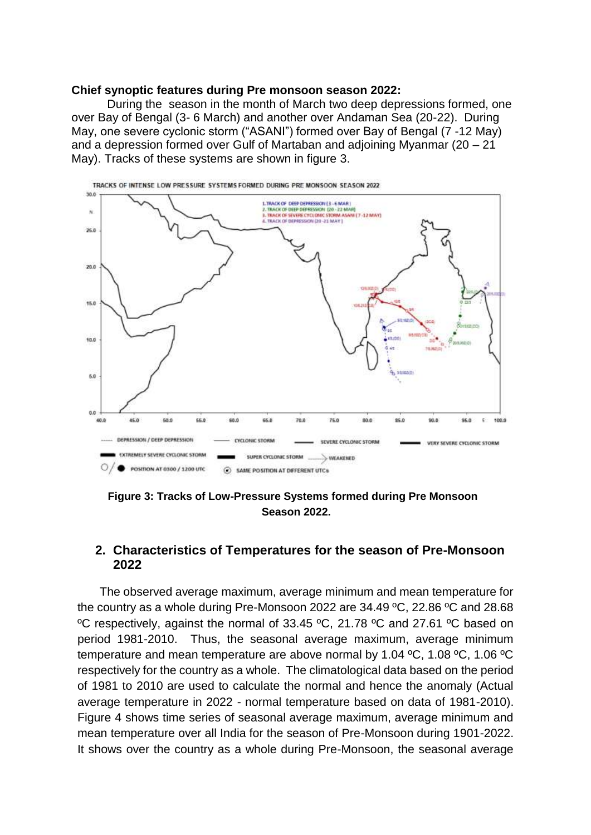### **Chief synoptic features during Pre monsoon season 2022:**

During the season in the month of March two deep depressions formed, one over Bay of Bengal (3- 6 March) and another over Andaman Sea (20-22). During May, one severe cyclonic storm ("ASANI") formed over Bay of Bengal (7 -12 May) and a depression formed over Gulf of Martaban and adjoining Myanmar (20 – 21 May). Tracks of these systems are shown in figure 3.



 **Figure 3: Tracks of Low-Pressure Systems formed during Pre Monsoon Season 2022.**

### **2. Characteristics of Temperatures for the season of Pre-Monsoon 2022**

The observed average maximum, average minimum and mean temperature for the country as a whole during Pre-Monsoon 2022 are 34.49 ºC, 22.86 ºC and 28.68 ºC respectively, against the normal of 33.45 ºC, 21.78 ºC and 27.61 ºC based on period 1981-2010. Thus, the seasonal average maximum, average minimum temperature and mean temperature are above normal by 1.04 ºC, 1.08 ºC, 1.06 ºC respectively for the country as a whole. The climatological data based on the period of 1981 to 2010 are used to calculate the normal and hence the anomaly (Actual average temperature in 2022 - normal temperature based on data of 1981-2010). Figure 4 shows time series of seasonal average maximum, average minimum and mean temperature over all India for the season of Pre-Monsoon during 1901-2022. It shows over the country as a whole during Pre-Monsoon, the seasonal average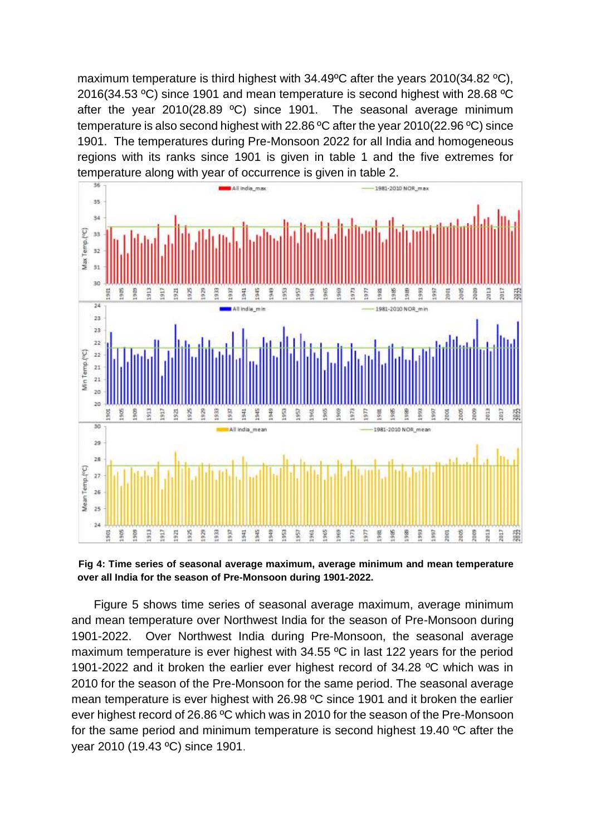maximum temperature is third highest with 34.49ºC after the years 2010(34.82 ºC), 2016(34.53 ºC) since 1901 and mean temperature is second highest with 28.68 ºC after the year 2010(28.89 ºC) since 1901. The seasonal average minimum temperature is also second highest with 22.86 ºC after the year 2010(22.96 ºC) since 1901. The temperatures during Pre-Monsoon 2022 for all India and homogeneous regions with its ranks since 1901 is given in table 1 and the five extremes for temperature along with year of occurrence is given in table 2.



**Fig 4: Time series of seasonal average maximum, average minimum and mean temperature over all India for the season of Pre-Monsoon during 1901-2022.**

Figure 5 shows time series of seasonal average maximum, average minimum and mean temperature over Northwest India for the season of Pre-Monsoon during 1901-2022. Over Northwest India during Pre-Monsoon, the seasonal average maximum temperature is ever highest with 34.55 ºC in last 122 years for the period 1901-2022 and it broken the earlier ever highest record of 34.28 ºC which was in 2010 for the season of the Pre-Monsoon for the same period. The seasonal average mean temperature is ever highest with 26.98 ºC since 1901 and it broken the earlier ever highest record of 26.86 ºC which was in 2010 for the season of the Pre-Monsoon for the same period and minimum temperature is second highest 19.40 ºC after the year 2010 (19.43 ºC) since 1901.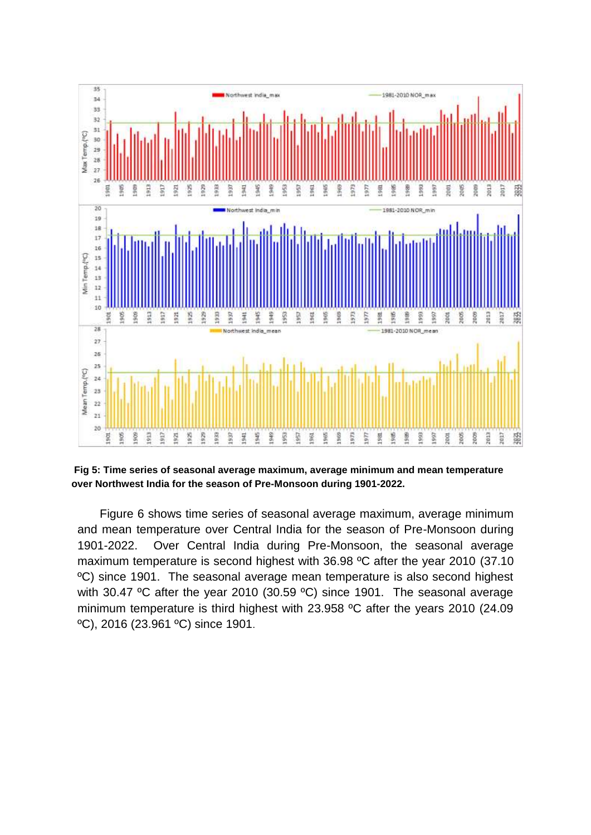

**Fig 5: Time series of seasonal average maximum, average minimum and mean temperature over Northwest India for the season of Pre-Monsoon during 1901-2022.**

Figure 6 shows time series of seasonal average maximum, average minimum and mean temperature over Central India for the season of Pre-Monsoon during 1901-2022. Over Central India during Pre-Monsoon, the seasonal average maximum temperature is second highest with 36.98 ºC after the year 2010 (37.10 ºC) since 1901. The seasonal average mean temperature is also second highest with 30.47 °C after the year 2010 (30.59 °C) since 1901. The seasonal average minimum temperature is third highest with 23.958 ºC after the years 2010 (24.09 ºC), 2016 (23.961 ºC) since 1901.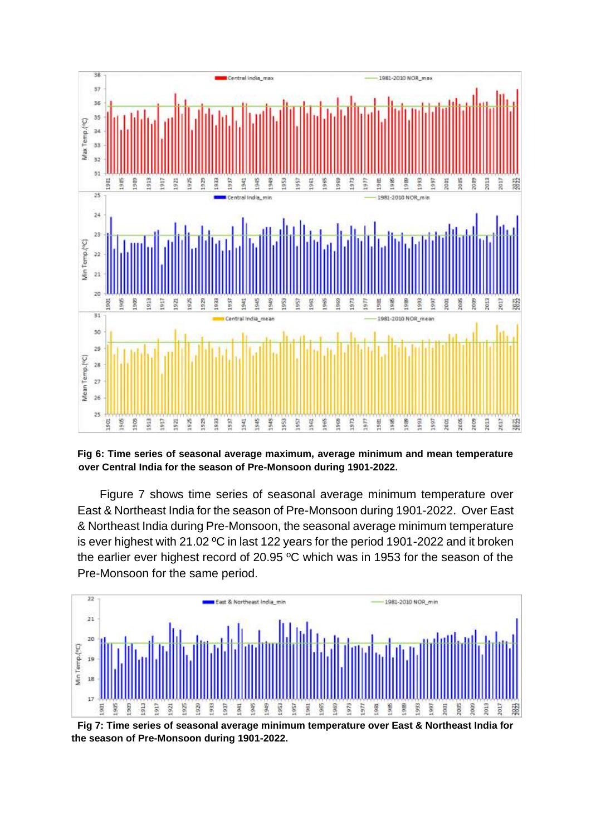

**Fig 6: Time series of seasonal average maximum, average minimum and mean temperature over Central India for the season of Pre-Monsoon during 1901-2022.**

Figure 7 shows time series of seasonal average minimum temperature over East & Northeast India for the season of Pre-Monsoon during 1901-2022. Over East & Northeast India during Pre-Monsoon, the seasonal average minimum temperature is ever highest with 21.02 ºC in last 122 years for the period 1901-2022 and it broken the earlier ever highest record of 20.95 ºC which was in 1953 for the season of the Pre-Monsoon for the same period.



**Fig 7: Time series of seasonal average minimum temperature over East & Northeast India for the season of Pre-Monsoon during 1901-2022.**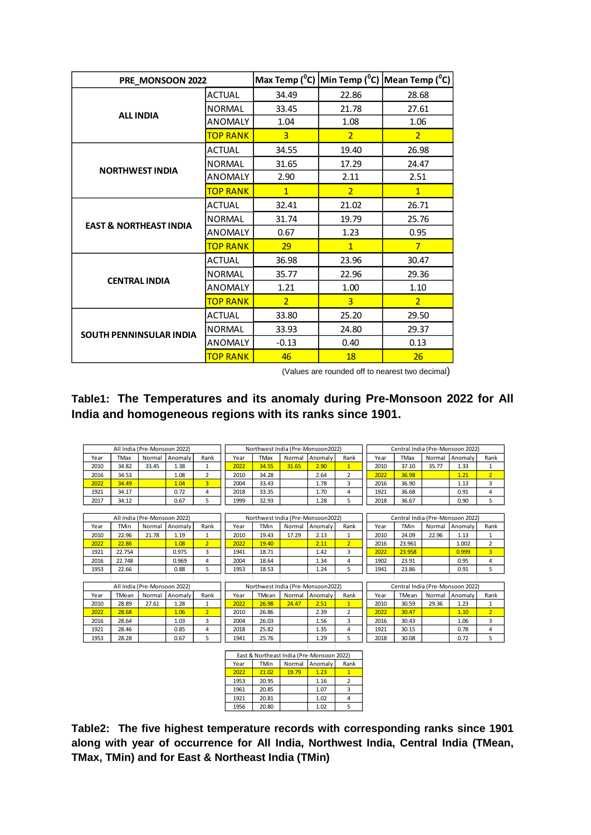| PRE_MONSOON 2022                  |                 |                |                | Max Temp ( $^0$ C) Min Temp ( $^0$ C) Mean Temp ( $^0$ C) |
|-----------------------------------|-----------------|----------------|----------------|-----------------------------------------------------------|
|                                   | <b>ACTUAL</b>   | 34.49          | 22.86          | 28.68                                                     |
| <b>ALL INDIA</b>                  | <b>NORMAL</b>   | 33.45          | 21.78          | 27.61                                                     |
|                                   | <b>ANOMALY</b>  | 1.04           | 1.08           | 1.06                                                      |
|                                   | <b>TOP RANK</b> | $\overline{3}$ | $\overline{2}$ | $\overline{2}$                                            |
|                                   | ACTUAL          | 34.55          | 19.40          | 26.98                                                     |
| <b>NORTHWEST INDIA</b>            | <b>NORMAL</b>   | 31.65          | 17.29          | 24.47                                                     |
|                                   | ANOMALY         | 2.90           | 2.11           | 2.51                                                      |
|                                   | <b>TOP RANK</b> | $\mathbf{1}$   | $\overline{2}$ | $\mathbf{1}$                                              |
|                                   | <b>ACTUAL</b>   | 32.41          | 21.02          | 26.71                                                     |
| <b>EAST &amp; NORTHEAST INDIA</b> | <b>NORMAL</b>   | 31.74          | 19.79          | 25.76                                                     |
|                                   | ANOMALY         | 0.67           | 1.23           | 0.95                                                      |
|                                   | <b>TOP RANK</b> | 29             | $\mathbf{1}$   | $\overline{7}$                                            |
|                                   | <b>ACTUAL</b>   | 36.98          | 23.96          | 30.47                                                     |
| <b>CENTRAL INDIA</b>              | <b>NORMAL</b>   | 35.77          | 22.96          | 29.36                                                     |
|                                   | <b>ANOMALY</b>  | 1.21           | 1.00           | 1.10                                                      |
|                                   | <b>TOP RANK</b> | $\overline{2}$ | $\overline{3}$ | $\overline{2}$                                            |
|                                   | <b>ACTUAL</b>   | 33.80          | 25.20          | 29.50                                                     |
| <b>SOUTH PENNINSULAR INDIA</b>    | <b>NORMAL</b>   | 33.93          | 24.80          | 29.37                                                     |
|                                   | <b>ANOMALY</b>  | $-0.13$        | 0.40           | 0.13                                                      |
|                                   | <b>TOP RANK</b> | 46             | 18             | 26                                                        |

(Values are rounded off to nearest two decimal)

### **Table1: The Temperatures and its anomaly during Pre-Monsoon 2022 for All India and homogeneous regions with its ranks since 1901.**

|      | All India (Pre-Monsoon 2022) |        |         |      | Northwest India (Pre-Monsoon2022) |       |        |                | Central India (Pre-Monsoon 2022) |      |             |       |                 |      |
|------|------------------------------|--------|---------|------|-----------------------------------|-------|--------|----------------|----------------------------------|------|-------------|-------|-----------------|------|
| Year | <b>TMax</b>                  | Normal | Anomaly | Rank | Year                              | TMax  | Normal | <b>Anomaly</b> | Rank                             | Year | <b>TMax</b> |       | Normal LAnomaly | Rank |
| 2010 | 34.82                        | 33.45  | 1.38    |      | 2022                              | 34.55 | 31.65  | 2.90           |                                  | 2010 | 37.10       | 35.77 | 1.33            |      |
| 2016 | 34.53                        |        | 1.08    |      | 2010                              | 34.28 |        | 2.64           |                                  | 2022 | 36.98       |       | 1.21            |      |
| 2022 | 34.49                        |        | 1.04    |      | 2004                              | 33.43 |        | 1.78           |                                  | 2016 | 36.90       |       | 1.13            |      |
| 1921 | 34.17                        |        | 0.72    |      | 2018                              | 33.35 |        | 1.70           |                                  | 1921 | 36.68       |       | 0.91            |      |
| 2017 | 34.12                        |        | 0.67    |      | 1999                              | 32.93 |        | 1.28           |                                  | 2018 | 36.67       |       | 0.90            |      |

|      |        | All India (Pre-Monsoon 2022) |         |      | Northwest India (Pre-Monsoon2022) |             |        |         | Central India (Pre-Monsoon 2022) |      |             |        |         |      |
|------|--------|------------------------------|---------|------|-----------------------------------|-------------|--------|---------|----------------------------------|------|-------------|--------|---------|------|
| Year | TMin   | Normal                       | Anomaly | Rank | Year                              | <b>TMin</b> | Normal | Anomaly | Rank                             | Year | <b>TMin</b> | Normal | Anomaly | Rank |
| 2010 | 22.96  | 21.78                        | 1.19    |      | 2010                              | 19.43       | 17.29  | 2.13    |                                  | 2010 | 24.09       | 22.96  | 1.13    |      |
| 2022 | 22.86  |                              | 1.08    |      | 2022                              | 19.40       |        | 2.11    |                                  | 2016 | 23.961      |        | 1.002   |      |
| 1921 | 22.754 |                              | 0.975   |      | 1941                              | 18.71       |        | 1.42    |                                  | 2022 | 23.958      |        | 0.999   |      |
| 2016 | 22.748 |                              | 0.969   |      | 2004                              | 18.64       |        | 1.34    |                                  | 1902 | 23.91       |        | 0.95    |      |
| 1953 | 22.66  |                              | 0.88    |      | 1953                              | 18.53       |        | 1.24    |                                  | 1941 | 23.86       |        | 0.91    |      |
|      |        |                              |         |      |                                   |             |        |         |                                  |      |             |        |         |      |

| All India (Pre-Monsoon 2022) |       |        |         |      |      | Northwest India (Pre-Monsoon2022) |        |         |      | Central India (Pre-Monsoon 2022) |       |        |         |                |
|------------------------------|-------|--------|---------|------|------|-----------------------------------|--------|---------|------|----------------------------------|-------|--------|---------|----------------|
| Year                         | TMean | Normal | Anomaly | Rank | Year | TMean                             | Normal | Anomaly | Rank | Year                             | TMean | Normal | Anomaly | Rank           |
| 2010                         | 28.89 | 27.61  | 1.28    |      | 2022 | 26.98                             | 24.47  | 2.51    |      | 2010                             | 30.59 | 29.36  | 1.23    |                |
| 2022                         | 28.68 |        | 1.06    |      | 2010 | 26.86                             |        | 2.39    |      | 2022                             | 30.47 |        | 1.10    | $\overline{2}$ |
| 2016                         | 28.64 |        | 1.03    |      | 2004 | 26.03                             |        | 1.56    |      | 2016                             | 30.43 |        | 1.06    | 3              |
| 1921                         | 28.46 |        | 0.85    | 4    | 2018 | 25.82                             |        | 1.35    | 4    | 1921                             | 30.15 |        | 0.78    | 4              |
| 1953                         | 28.28 |        | 0.67    |      | 1941 | 25.76                             |        | 1.29    |      | 2018                             | 30.08 |        | 0.72    |                |
|                              |       |        |         |      |      |                                   |        |         |      |                                  |       |        |         |                |

| East & Northeast India (Pre-Monsoon 2022) |       |        |         |      |  |  |  |  |
|-------------------------------------------|-------|--------|---------|------|--|--|--|--|
| Year                                      | TMin  | Normal | Anomaly | Rank |  |  |  |  |
| 2022                                      | 21.02 | 19.79  | 1.23    |      |  |  |  |  |
| 1953                                      | 20.95 |        | 1.16    |      |  |  |  |  |
| 1961                                      | 20.85 |        | 1.07    |      |  |  |  |  |
| 1921                                      | 20.81 |        | 1.02    |      |  |  |  |  |
| 1956                                      | 20.80 |        | 1.02    |      |  |  |  |  |

**Table2: The five highest temperature records with corresponding ranks since 1901 along with year of occurrence for All India, Northwest India, Central India (TMean, TMax, TMin) and for East & Northeast India (TMin)**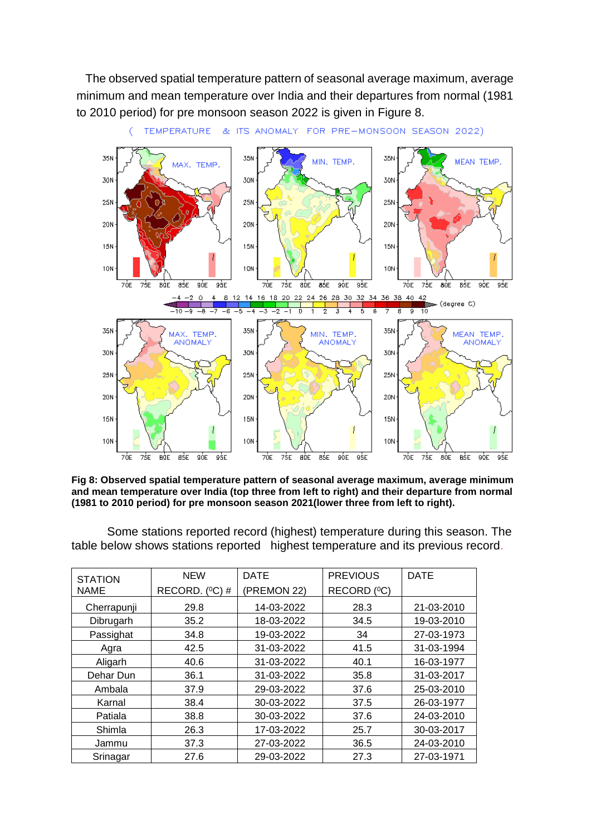The observed spatial temperature pattern of seasonal average maximum, average minimum and mean temperature over India and their departures from normal (1981 to 2010 period) for pre monsoon season 2022 is given in Figure 8.



**Fig 8: Observed spatial temperature pattern of seasonal average maximum, average minimum and mean temperature over India (top three from left to right) and their departure from normal (1981 to 2010 period) for pre monsoon season 2021(lower three from left to right).**

Some stations reported record (highest) temperature during this season. The table below shows stations reported highest temperature and its previous record.

| <b>STATION</b> | <b>NEW</b>          | <b>DATE</b> | <b>PREVIOUS</b> | <b>DATE</b> |
|----------------|---------------------|-------------|-----------------|-------------|
| <b>NAME</b>    | RECORD. $(^{0}C)$ # | (PREMON 22) | RECORD (°C)     |             |
| Cherrapunji    | 29.8                | 14-03-2022  | 28.3            | 21-03-2010  |
| Dibrugarh      | 35.2                | 18-03-2022  | 34.5            | 19-03-2010  |
| Passighat      | 34.8                | 19-03-2022  | 34              | 27-03-1973  |
| Agra           | 42.5                | 31-03-2022  | 41.5            | 31-03-1994  |
| Aligarh        | 40.6                | 31-03-2022  | 40.1            | 16-03-1977  |
| Dehar Dun      | 36.1                | 31-03-2022  | 35.8            | 31-03-2017  |
| Ambala         | 37.9                | 29-03-2022  | 37.6            | 25-03-2010  |
| Karnal         | 38.4                | 30-03-2022  | 37.5            | 26-03-1977  |
| Patiala        | 38.8                | 30-03-2022  | 37.6            | 24-03-2010  |
| Shimla         | 26.3                | 17-03-2022  | 25.7            | 30-03-2017  |
| Jammu          | 37.3                | 27-03-2022  | 36.5            | 24-03-2010  |
| Srinagar       | 27.6                | 29-03-2022  | 27.3            | 27-03-1971  |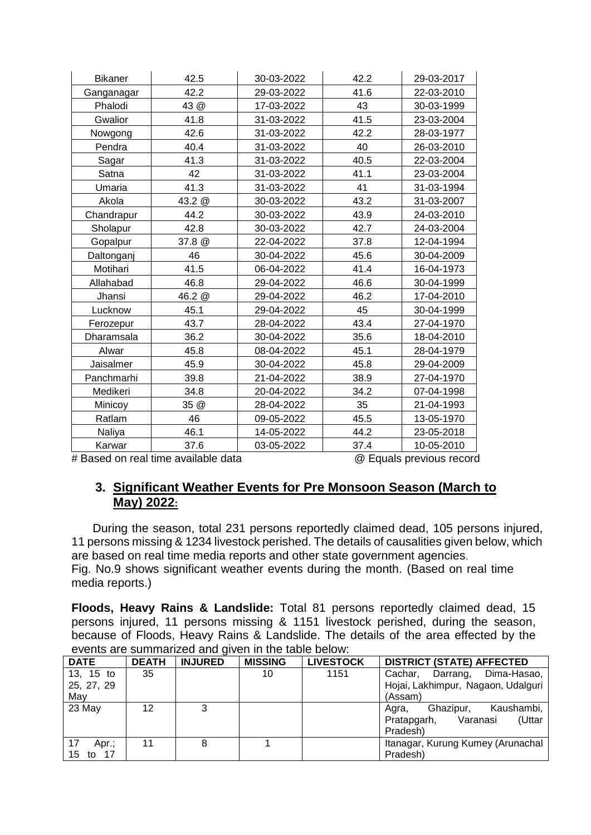| <b>Bikaner</b> | 42.5                                | 30-03-2022 | 42.2 | 29-03-2017               |
|----------------|-------------------------------------|------------|------|--------------------------|
|                | 42.2                                |            |      |                          |
| Ganganagar     |                                     | 29-03-2022 | 41.6 | 22-03-2010               |
| Phalodi        | 43 @                                | 17-03-2022 | 43   | 30-03-1999               |
| Gwalior        | 41.8                                | 31-03-2022 | 41.5 | 23-03-2004               |
| Nowgong        | 42.6                                | 31-03-2022 | 42.2 | 28-03-1977               |
| Pendra         | 40.4                                | 31-03-2022 | 40   | 26-03-2010               |
| Sagar          | 41.3                                | 31-03-2022 | 40.5 | 22-03-2004               |
| Satna          | 42                                  | 31-03-2022 | 41.1 | 23-03-2004               |
| Umaria         | 41.3                                | 31-03-2022 | 41   | 31-03-1994               |
| Akola          | 43.2 @                              | 30-03-2022 | 43.2 | 31-03-2007               |
| Chandrapur     | 44.2                                | 30-03-2022 | 43.9 | 24-03-2010               |
| Sholapur       | 42.8                                | 30-03-2022 | 42.7 | 24-03-2004               |
| Gopalpur       | 37.8 @                              | 22-04-2022 | 37.8 | 12-04-1994               |
| Daltonganj     | 46                                  | 30-04-2022 | 45.6 | 30-04-2009               |
| Motihari       | 41.5                                | 06-04-2022 | 41.4 | 16-04-1973               |
| Allahabad      | 46.8                                | 29-04-2022 | 46.6 | 30-04-1999               |
| Jhansi         | 46.2 @                              | 29-04-2022 | 46.2 | 17-04-2010               |
| Lucknow        | 45.1                                | 29-04-2022 | 45   | 30-04-1999               |
| Ferozepur      | 43.7                                | 28-04-2022 | 43.4 | 27-04-1970               |
| Dharamsala     | 36.2                                | 30-04-2022 | 35.6 | 18-04-2010               |
| Alwar          | 45.8                                | 08-04-2022 | 45.1 | 28-04-1979               |
| Jaisalmer      | 45.9                                | 30-04-2022 | 45.8 | 29-04-2009               |
| Panchmarhi     | 39.8                                | 21-04-2022 | 38.9 | 27-04-1970               |
| Medikeri       | 34.8                                | 20-04-2022 | 34.2 | 07-04-1998               |
| Minicoy        | 35 @                                | 28-04-2022 | 35   | 21-04-1993               |
| Ratlam         | 46                                  | 09-05-2022 | 45.5 | 13-05-1970               |
| Naliya         | 46.1                                | 14-05-2022 | 44.2 | 23-05-2018               |
| Karwar         | 37.6                                | 03-05-2022 | 37.4 | 10-05-2010               |
|                | # Based on real time available data |            |      | @ Equals previous record |

## **3. Significant Weather Events for Pre Monsoon Season (March to May) 2022:**

During the season, total 231 persons reportedly claimed dead, 105 persons injured, 11 persons missing & 1234 livestock perished. The details of causalities given below, which are based on real time media reports and other state government agencies. Fig. No.9 shows significant weather events during the month. (Based on real time media reports.)

**Floods, Heavy Rains & Landslide:** Total 81 persons reportedly claimed dead, 15 persons injured, 11 persons missing & 1151 livestock perished, during the season, because of Floods, Heavy Rains & Landslide. The details of the area effected by the events are summarized and given in the table below:

| <b>DATE</b>      | <b>DEATH</b> | <b>INJURED</b> | <b>MISSING</b> | <b>LIVESTOCK</b> | <b>DISTRICT (STATE) AFFECTED</b>   |
|------------------|--------------|----------------|----------------|------------------|------------------------------------|
| 13, 15 to        | 35           |                | 10             | 1151             | Dima-Hasao,<br>Cachar.<br>Darrang, |
| 25, 27, 29       |              |                |                |                  | Hojai, Lakhimpur, Nagaon, Udalguri |
| May              |              |                |                |                  | (Assam)                            |
| 23 May           | 12           | 3              |                |                  | Ghazipur,<br>Kaushambi,<br>Agra,   |
|                  |              |                |                |                  | Varanasi<br>(Uttar<br>Pratapgarh,  |
|                  |              |                |                |                  | Pradesh)                           |
| Apr.;            | 11           | 8              |                |                  | Itanagar, Kurung Kumey (Arunachal  |
| - 17<br>15<br>to |              |                |                |                  | Pradesh)                           |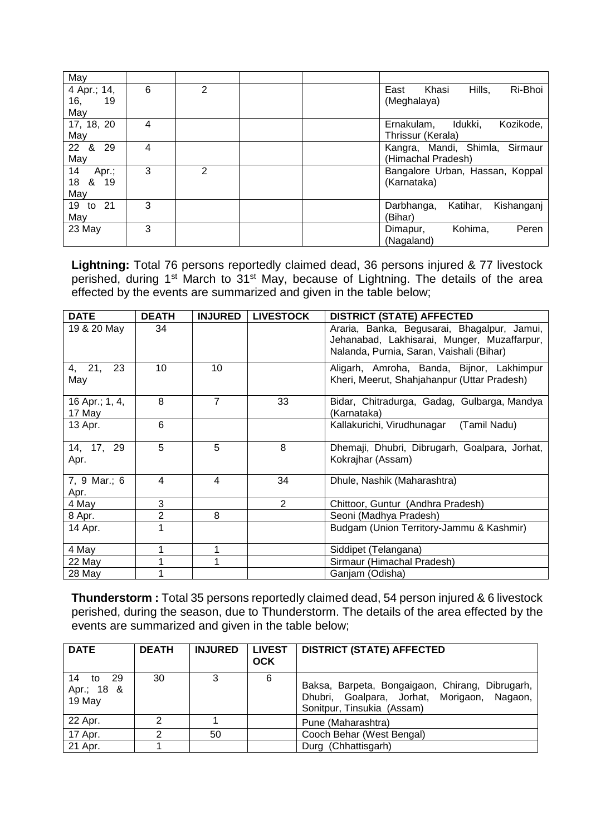| May                          |   |   |  |                                      |
|------------------------------|---|---|--|--------------------------------------|
| 4 Apr.; 14,                  | 6 | 2 |  | Ri-Bhoi<br>Hills,<br>East<br>Khasi   |
| 16,<br>19                    |   |   |  | (Meghalaya)                          |
| May                          |   |   |  |                                      |
| 17, 18, 20                   | 4 |   |  | Idukki,<br>Kozikode,<br>Ernakulam,   |
| May                          |   |   |  | Thrissur (Kerala)                    |
| &<br>$22 \overline{ }$<br>29 | 4 |   |  | Kangra, Mandi, Shimla, Sirmaur       |
| May                          |   |   |  | (Himachal Pradesh)                   |
| 14<br>Apr.;                  | 3 | 2 |  | Bangalore Urban, Hassan, Koppal      |
| 18<br>& 19                   |   |   |  | (Karnataka)                          |
| May                          |   |   |  |                                      |
| 19<br>to 21                  | 3 |   |  | Kishanganj<br>Darbhanga,<br>Katihar, |
| May                          |   |   |  | (Bihar)                              |
| 23 May                       | 3 |   |  | Kohima,<br>Peren<br>Dimapur,         |
|                              |   |   |  | (Nagaland)                           |

**Lightning:** Total 76 persons reportedly claimed dead, 36 persons injured & 77 livestock perished, during 1st March to 31st May, because of Lightning. The details of the area effected by the events are summarized and given in the table below;

| <b>DATE</b>              | <b>DEATH</b> | <b>INJURED</b> | <b>LIVESTOCK</b> | <b>DISTRICT (STATE) AFFECTED</b>                                                                                                       |
|--------------------------|--------------|----------------|------------------|----------------------------------------------------------------------------------------------------------------------------------------|
| 19 & 20 May              | 34           |                |                  | Araria, Banka, Begusarai, Bhagalpur, Jamui,<br>Jehanabad, Lakhisarai, Munger, Muzaffarpur,<br>Nalanda, Purnia, Saran, Vaishali (Bihar) |
| 4, 21,<br>23<br>May      | 10           | 10             |                  | Aligarh, Amroha, Banda, Bijnor, Lakhimpur<br>Kheri, Meerut, Shahjahanpur (Uttar Pradesh)                                               |
| 16 Apr.; 1, 4,<br>17 May | 8            | 7              | 33               | Bidar, Chitradurga, Gadag, Gulbarga, Mandya<br>(Karnataka)                                                                             |
| 13 Apr.                  | 6            |                |                  | Kallakurichi, Virudhunagar<br>(Tamil Nadu)                                                                                             |
| 14, 17, 29<br>Apr.       | 5            | 5              | 8                | Dhemaji, Dhubri, Dibrugarh, Goalpara, Jorhat,<br>Kokrajhar (Assam)                                                                     |
| 7, 9 Mar.; 6<br>Apr.     | 4            | 4              | 34               | Dhule, Nashik (Maharashtra)                                                                                                            |
| 4 May                    | 3            |                | $\overline{2}$   | Chittoor, Guntur (Andhra Pradesh)                                                                                                      |
| 8 Apr.                   | 2            | 8              |                  | Seoni (Madhya Pradesh)                                                                                                                 |
| 14 Apr.                  |              |                |                  | Budgam (Union Territory-Jammu & Kashmir)                                                                                               |
| 4 May                    | 1            | 1              |                  | Siddipet (Telangana)                                                                                                                   |
| 22 May                   |              |                |                  | Sirmaur (Himachal Pradesh)                                                                                                             |
| 28 May                   |              |                |                  | Ganjam (Odisha)                                                                                                                        |

**Thunderstorm :** Total 35 persons reportedly claimed dead, 54 person injured & 6 livestock perished, during the season, due to Thunderstorm. The details of the area effected by the events are summarized and given in the table below;

| <b>DATE</b>                             | <b>DEATH</b> | <b>INJURED</b> | <b>LIVEST</b><br><b>OCK</b> | <b>DISTRICT (STATE) AFFECTED</b>                                                                                             |  |
|-----------------------------------------|--------------|----------------|-----------------------------|------------------------------------------------------------------------------------------------------------------------------|--|
| 14<br>-29<br>to<br>Apr.; 18 &<br>19 May | 30           | 3              | 6                           | Baksa, Barpeta, Bongaigaon, Chirang, Dibrugarh,<br>Dhubri, Goalpara, Jorhat, Morigaon, Nagaon,<br>Sonitpur, Tinsukia (Assam) |  |
| 22 Apr.                                 | ⌒            |                |                             | Pune (Maharashtra)                                                                                                           |  |
| 17 Apr.                                 |              | 50             |                             | Cooch Behar (West Bengal)                                                                                                    |  |
| 21 Apr.                                 |              |                |                             | Durg (Chhattisgarh)                                                                                                          |  |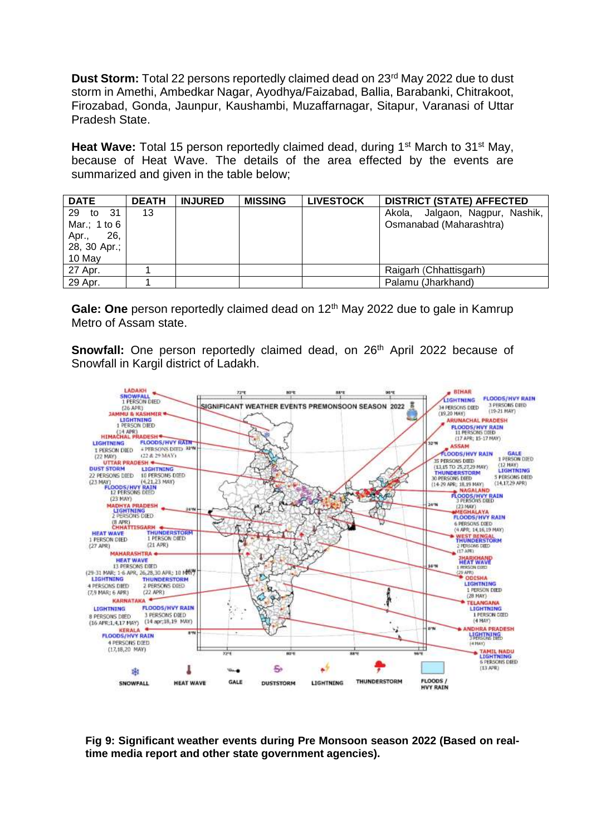**Dust Storm:** Total 22 persons reportedly claimed dead on 23<sup>rd</sup> May 2022 due to dust storm in Amethi, Ambedkar Nagar, Ayodhya/Faizabad, Ballia, Barabanki, Chitrakoot, Firozabad, Gonda, Jaunpur, Kaushambi, Muzaffarnagar, Sitapur, Varanasi of Uttar Pradesh State.

**Heat Wave:** Total 15 person reportedly claimed dead, during 1<sup>st</sup> March to 31<sup>st</sup> May, because of Heat Wave. The details of the area effected by the events are summarized and given in the table below;

| <b>DATE</b>                                                  | <b>DEATH</b> | <b>INJURED</b> | <b>MISSING</b> | <b>LIVESTOCK</b> | <b>DISTRICT (STATE) AFFECTED</b>                           |
|--------------------------------------------------------------|--------------|----------------|----------------|------------------|------------------------------------------------------------|
| 29 to<br>-31<br>Mar.; 1 to 6<br>26,<br>Apr.,<br>28, 30 Apr.; | 13           |                |                |                  | Akola, Jalgaon, Nagpur, Nashik,<br>Osmanabad (Maharashtra) |
| 10 May                                                       |              |                |                |                  |                                                            |
| 27 Apr.                                                      |              |                |                |                  | Raigarh (Chhattisgarh)                                     |
| 29 Apr.                                                      |              |                |                |                  | Palamu (Jharkhand)                                         |

**Gale: One** person reportedly claimed dead on 12<sup>th</sup> May 2022 due to gale in Kamrup Metro of Assam state.

**Snowfall:** One person reportedly claimed dead, on 26<sup>th</sup> April 2022 because of Snowfall in Kargil district of Ladakh.



**Fig 9: Significant weather events during Pre Monsoon season 2022 (Based on realtime media report and other state government agencies).**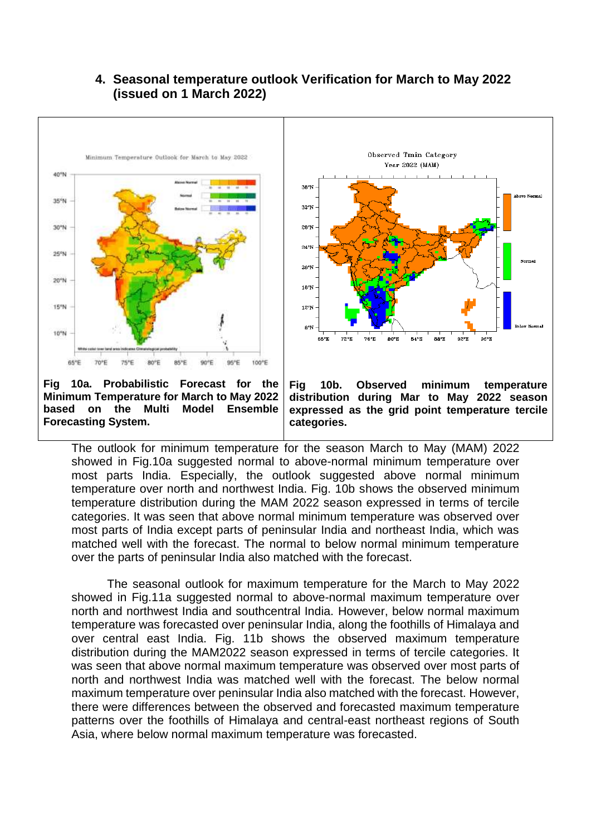#### Observed Tmin Category Minimum Temperature Outlook for March to May 2022 Year 2022 (MAM) 40°N  $36<sup>o</sup>$ 35°N 32°N snew 28°N 24°N 25°N  $20^{\circ}$ N 20°N  $16°<sub>N</sub>$ 15%W  $12°<sub>N</sub>$  $8^{\circ}$ N 10°N  $B4^{\circ}$ 68°E **72°N 26°E** 80°E **BR'E** 92°E 96°E 100°E 75°E 80°E **BS<sup>+</sup>E** 90°E 96°E 65°E

**4. Seasonal temperature outlook Verification for March to May 2022 (issued on 1 March 2022)**

**Fig 10a. Probabilistic Forecast for the Minimum Temperature for March to May 2022 based on the Multi Model Ensemble Forecasting System.**

**Fig 10b. Observed minimum temperature distribution during Mar to May 2022 season expressed as the grid point temperature tercile categories.**

The outlook for minimum temperature for the season March to May (MAM) 2022 showed in Fig.10a suggested normal to above-normal minimum temperature over most parts India. Especially, the outlook suggested above normal minimum temperature over north and northwest India. Fig. 10b shows the observed minimum temperature distribution during the MAM 2022 season expressed in terms of tercile categories. It was seen that above normal minimum temperature was observed over most parts of India except parts of peninsular India and northeast India, which was matched well with the forecast. The normal to below normal minimum temperature over the parts of peninsular India also matched with the forecast.

The seasonal outlook for maximum temperature for the March to May 2022 showed in Fig.11a suggested normal to above-normal maximum temperature over north and northwest India and southcentral India. However, below normal maximum temperature was forecasted over peninsular India, along the foothills of Himalaya and over central east India. Fig. 11b shows the observed maximum temperature distribution during the MAM2022 season expressed in terms of tercile categories. It was seen that above normal maximum temperature was observed over most parts of north and northwest India was matched well with the forecast. The below normal maximum temperature over peninsular India also matched with the forecast. However, there were differences between the observed and forecasted maximum temperature patterns over the foothills of Himalaya and central-east northeast regions of South Asia, where below normal maximum temperature was forecasted.